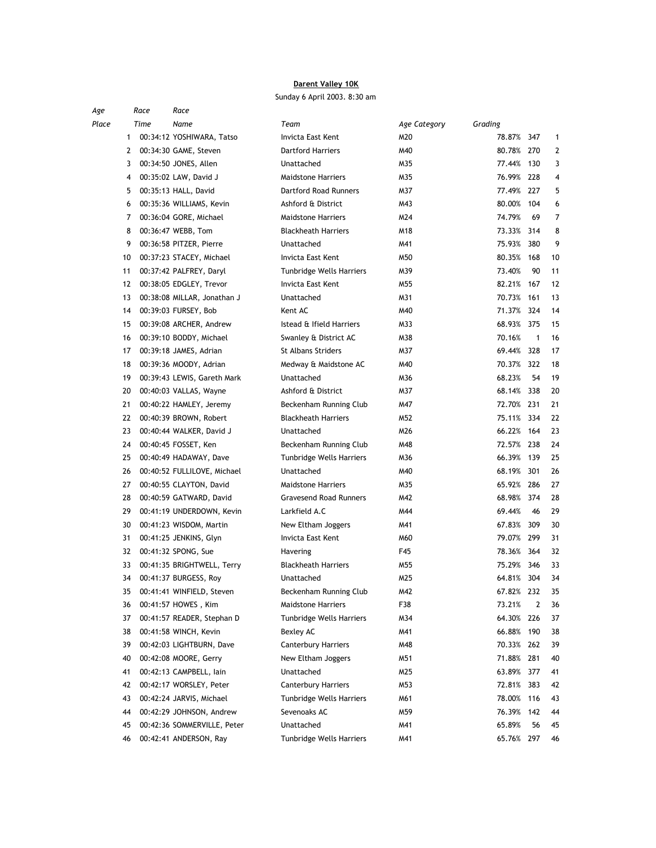## Darent Valley 10K

Sunday 6 April 2003. 8:30 am

| Age   |    | Race | Race                        |                               |              |            |              |              |
|-------|----|------|-----------------------------|-------------------------------|--------------|------------|--------------|--------------|
| Place |    | Time | Name                        | Team                          | Age Category | Grading    |              |              |
|       | 1  |      | 00:34:12 YOSHIWARA, Tatso   | Invicta East Kent             | M20          | 78.87%     | 347          | $\mathbf{1}$ |
|       | 2  |      | 00:34:30 GAME, Steven       | <b>Dartford Harriers</b>      | M40          | 80.78% 270 |              | 2            |
|       | 3  |      | 00:34:50 JONES, Allen       | Unattached                    | M35          | 77.44%     | 130          | 3            |
|       | 4  |      | 00:35:02 LAW, David J       | <b>Maidstone Harriers</b>     | M35          | 76.99% 228 |              | 4            |
|       | 5  |      | 00:35:13 HALL, David        | <b>Dartford Road Runners</b>  | M37          | 77.49% 227 |              | 5            |
|       | 6  |      | 00:35:36 WILLIAMS, Kevin    | Ashford & District            | M43          | 80.00%     | 104          | 6            |
|       | 7  |      | 00:36:04 GORE, Michael      | <b>Maidstone Harriers</b>     | M24          | 74.79%     | 69           | 7            |
|       | 8  |      | 00:36:47 WEBB, Tom          | <b>Blackheath Harriers</b>    | M18          | 73.33% 314 |              | 8            |
|       | 9  |      | 00:36:58 PITZER, Pierre     | Unattached                    | M41          | 75.93%     | 380          | 9            |
|       | 10 |      | 00:37:23 STACEY, Michael    | Invicta East Kent             | M50          | 80.35%     | 168          | 10           |
|       | 11 |      | 00:37:42 PALFREY, Daryl     | Tunbridge Wells Harriers      | M39          | 73.40%     | 90           | 11           |
|       | 12 |      | 00:38:05 EDGLEY, Trevor     | Invicta East Kent             | M55          | 82.21%     | -167         | 12           |
|       | 13 |      | 00:38:08 MILLAR, Jonathan J | Unattached                    | M31          | 70.73%     | 161          | 13           |
|       | 14 |      | 00:39:03 FURSEY, Bob        | Kent AC                       | M40          | 71.37%     | 324          | 14           |
|       | 15 |      | 00:39:08 ARCHER, Andrew     | Istead & Ifield Harriers      | M33          | 68.93%     | 375          | 15           |
|       | 16 |      | 00:39:10 BODDY, Michael     | Swanley & District AC         | M38          | 70.16%     | $\mathbf{1}$ | 16           |
|       | 17 |      | 00:39:18 JAMES, Adrian      | <b>St Albans Striders</b>     | M37          | 69.44% 328 |              | 17           |
|       | 18 |      | 00:39:36 MOODY, Adrian      | Medway & Maidstone AC         | M40          | 70.37% 322 |              | 18           |
|       | 19 |      | 00:39:43 LEWIS, Gareth Mark | Unattached                    | M36          | 68.23%     | 54           | 19           |
|       | 20 |      | 00:40:03 VALLAS, Wayne      | Ashford & District            | M37          | 68.14% 338 |              | 20           |
|       | 21 |      | 00:40:22 HAMLEY, Jeremy     | Beckenham Running Club        | M47          | 72.70% 231 |              | 21           |
|       | 22 |      | 00:40:39 BROWN, Robert      | <b>Blackheath Harriers</b>    | M52          | 75.11%     | 334          | 22           |
|       | 23 |      | 00:40:44 WALKER, David J    | Unattached                    | M26          | 66.22%     | 164          | 23           |
|       | 24 |      | 00:40:45 FOSSET, Ken        | Beckenham Running Club        | M48          | 72.57%     | 238          | 24           |
|       | 25 |      | 00:40:49 HADAWAY, Dave      | Tunbridge Wells Harriers      | M36          | 66.39%     | - 139        | 25           |
|       | 26 |      | 00:40:52 FULLILOVE, Michael | Unattached                    | M40          | 68.19%     | 301          | 26           |
|       | 27 |      | 00:40:55 CLAYTON, David     | <b>Maidstone Harriers</b>     | M35          | 65.92%     | 286          | 27           |
|       | 28 |      | 00:40:59 GATWARD, David     | <b>Gravesend Road Runners</b> | M42          | 68.98%     | 374          | 28           |
|       | 29 |      | 00:41:19 UNDERDOWN, Kevin   | Larkfield A.C                 | M44          | 69.44%     | 46           | 29           |
|       | 30 |      | 00:41:23 WISDOM, Martin     | New Eltham Joggers            | M41          | 67.83%     | 309          | 30           |
|       | 31 |      | 00:41:25 JENKINS, Glyn      | Invicta East Kent             | M60          | 79.07% 299 |              | 31           |
|       | 32 |      | 00:41:32 SPONG, Sue         | Havering                      | F45          | 78.36% 364 |              | 32           |
|       | 33 |      | 00:41:35 BRIGHTWELL, Terry  | <b>Blackheath Harriers</b>    | M55          | 75.29%     | 346          | 33           |
|       | 34 |      | 00:41:37 BURGESS, Roy       | Unattached                    | M25          | 64.81%     | 304          | 34           |
|       | 35 |      | 00:41:41 WINFIELD, Steven   | Beckenham Running Club        | M42          | 67.82% 232 |              | 35           |
|       | 36 |      | 00:41:57 HOWES, Kim         | <b>Maidstone Harriers</b>     | F38          | 73.21%     | 2            | 36           |
|       | 37 |      | 00:41:57 READER, Stephan D  | Tunbridge Wells Harriers      | M34          | 64.30%     | 226          | 37           |
|       | 38 |      | 00:41:58 WINCH, Kevin       | Bexley AC                     | M41          | 66.88%     | 190          | 38           |
|       | 39 |      | 00:42:03 LIGHTBURN, Dave    | <b>Canterbury Harriers</b>    | M48          | 70.33% 262 |              | 39           |
|       | 40 |      | 00:42:08 MOORE, Gerry       | New Eltham Joggers            | M51          | 71.88% 281 |              | 40           |
|       | 41 |      | 00:42:13 CAMPBELL, lain     | Unattached                    | M25          | 63.89%     | 377          | 41           |
|       | 42 |      | 00:42:17 WORSLEY, Peter     | <b>Canterbury Harriers</b>    | M53          | 72.81%     | 383          | 42           |
|       | 43 |      | 00:42:24 JARVIS, Michael    | Tunbridge Wells Harriers      | M61          | 78.00%     | 116          | 43           |
|       | 44 |      | 00:42:29 JOHNSON, Andrew    | Sevenoaks AC                  | M59          | 76.39% 142 |              | 44           |
|       | 45 |      | 00:42:36 SOMMERVILLE, Peter | Unattached                    | M41          | 65.89%     | 56           | 45           |
|       | 46 |      | 00:42:41 ANDERSON, Ray      | Tunbridge Wells Harriers      | M41          | 65.76% 297 |              | 46           |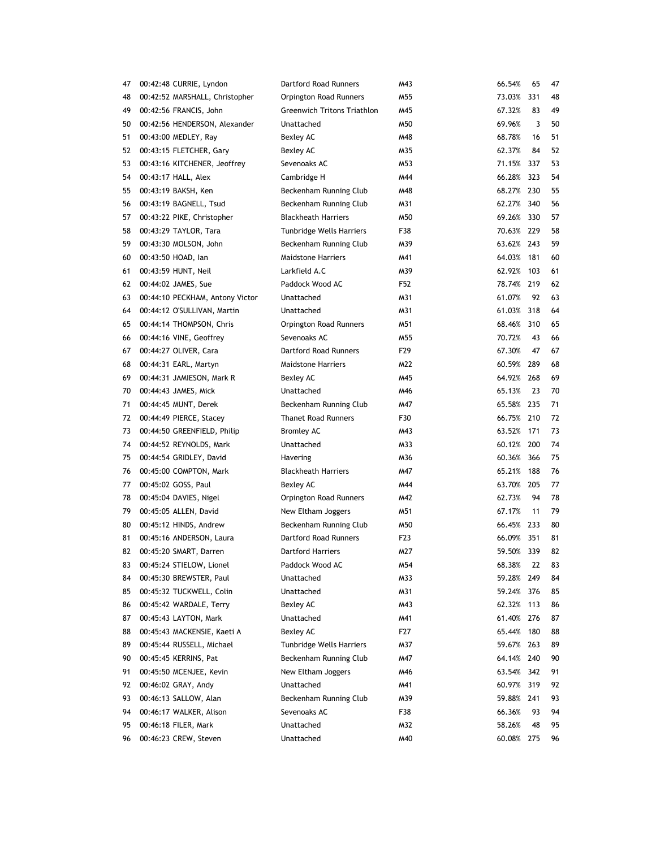| 47 | 00:42:48 CURRIE, Lyndon         | Dartford Road Runners              | M43              | 66.54%     | 65  | 47 |
|----|---------------------------------|------------------------------------|------------------|------------|-----|----|
| 48 | 00:42:52 MARSHALL, Christopher  | Orpington Road Runners             | M55              | 73.03%     | 331 | 48 |
| 49 | 00:42:56 FRANCIS, John          | <b>Greenwich Tritons Triathlon</b> | M45              | 67.32%     | 83  | 49 |
| 50 | 00:42:56 HENDERSON, Alexander   | Unattached                         | M50              | 69.96%     | 3   | 50 |
| 51 | 00:43:00 MEDLEY, Ray            | Bexley AC                          | M48              | 68.78%     | 16  | 51 |
| 52 | 00:43:15 FLETCHER, Gary         | Bexley AC                          | M35              | 62.37%     | 84  | 52 |
| 53 | 00:43:16 KITCHENER, Jeoffrey    | Sevenoaks AC                       | M53              | 71.15%     | 337 | 53 |
| 54 | 00:43:17 HALL, Alex             | Cambridge H                        | M44              | 66.28%     | 323 | 54 |
| 55 | 00:43:19 BAKSH, Ken             | Beckenham Running Club             | M48              | 68.27% 230 |     | 55 |
| 56 | 00:43:19 BAGNELL, Tsud          | Beckenham Running Club             | M31              | 62.27% 340 |     | 56 |
| 57 | 00:43:22 PIKE, Christopher      | <b>Blackheath Harriers</b>         | M50              | 69.26% 330 |     | 57 |
| 58 | 00:43:29 TAYLOR, Tara           | Tunbridge Wells Harriers           | F38              | 70.63% 229 |     | 58 |
| 59 | 00:43:30 MOLSON, John           | Beckenham Running Club             | M39              | 63.62% 243 |     | 59 |
| 60 | 00:43:50 HOAD, lan              | <b>Maidstone Harriers</b>          | M41              | 64.03% 181 |     | 60 |
| 61 | 00:43:59 HUNT, Neil             | Larkfield A.C                      | M39              | 62.92%     | 103 | 61 |
| 62 | 00:44:02 JAMES, Sue             | Paddock Wood AC                    | F52              | 78.74% 219 |     | 62 |
| 63 | 00:44:10 PECKHAM, Antony Victor | Unattached                         | M31              | 61.07%     | 92  | 63 |
| 64 | 00:44:12 O'SULLIVAN, Martin     | Unattached                         | M31              | 61.03%     | 318 | 64 |
| 65 | 00:44:14 THOMPSON, Chris        | Orpington Road Runners             | M51              | 68.46% 310 |     | 65 |
| 66 | 00:44:16 VINE, Geoffrey         | Sevenoaks AC                       | M55              | 70.72%     | 43  | 66 |
| 67 | 00:44:27 OLIVER, Cara           | Dartford Road Runners              | F29              | 67.30%     | 47  | 67 |
| 68 | 00:44:31 EARL, Martyn           | <b>Maidstone Harriers</b>          | M22              | 60.59% 289 |     | 68 |
| 69 | 00:44:31 JAMIESON, Mark R       | Bexley AC                          | M45              | 64.92% 268 |     | 69 |
| 70 | 00:44:43 JAMES, Mick            | Unattached                         | M46              | 65.13%     | 23  | 70 |
| 71 | 00:44:45 MUNT, Derek            | Beckenham Running Club             | M47              | 65.58% 235 |     | 71 |
| 72 | 00:44:49 PIERCE, Stacey         | <b>Thanet Road Runners</b>         | F30              | 66.75% 210 |     | 72 |
| 73 | 00:44:50 GREENFIELD, Philip     | <b>Bromley AC</b>                  | M43              | 63.52%     | 171 | 73 |
| 74 | 00:44:52 REYNOLDS, Mark         | Unattached                         | M33              | 60.12% 200 |     | 74 |
| 75 | 00:44:54 GRIDLEY, David         | Havering                           | M36              | 60.36% 366 |     | 75 |
| 76 | 00:45:00 COMPTON, Mark          | <b>Blackheath Harriers</b>         | M47              | 65.21%     | 188 | 76 |
| 77 | 00:45:02 GOSS, Paul             | Bexley AC                          | M44              | 63.70% 205 |     | 77 |
| 78 | 00:45:04 DAVIES, Nigel          | Orpington Road Runners             | M42              | 62.73%     | 94  | 78 |
| 79 | 00:45:05 ALLEN, David           | New Eltham Joggers                 | M51              | 67.17%     | 11  | 79 |
| 80 | 00:45:12 HINDS, Andrew          | Beckenham Running Club             | M50              | 66.45% 233 |     | 80 |
| 81 | 00:45:16 ANDERSON, Laura        | Dartford Road Runners              | F <sub>2</sub> 3 | 66.09% 351 |     | 81 |
| 82 | 00:45:20 SMART, Darren          | <b>Dartford Harriers</b>           | M27              | 59.50% 339 |     | 82 |
| 83 | 00:45:24 STIELOW, Lionel        | Paddock Wood AC                    | M54              | 68.38%     | 22  | 83 |
| 84 | 00:45:30 BREWSTER, Paul         | Unattached                         | M33              | 59.28%     | 249 | 84 |
| 85 | 00:45:32 TUCKWELL, Colin        | Unattached                         | M31              | 59.24%     | 376 | 85 |
| 86 | 00:45:42 WARDALE, Terry         | Bexley AC                          | M43              | 62.32%     | 113 | 86 |
| 87 | 00:45:43 LAYTON, Mark           | Unattached                         | M41              | 61.40%     | 276 | 87 |
| 88 | 00:45:43 MACKENSIE, Kaeti A     | Bexley AC                          | F27              | 65.44%     | 180 | 88 |
| 89 | 00:45:44 RUSSELL, Michael       | Tunbridge Wells Harriers           | M37              | 59.67%     | 263 | 89 |
| 90 | 00:45:45 KERRINS, Pat           | Beckenham Running Club             | M47              | 64.14% 240 |     | 90 |
| 91 | 00:45:50 MCENJEE, Kevin         | New Eltham Joggers                 | M46              | 63.54%     | 342 | 91 |
| 92 | 00:46:02 GRAY, Andy             | Unattached                         | M41              | 60.97%     | 319 | 92 |
| 93 | 00:46:13 SALLOW, Alan           | Beckenham Running Club             | M39              | 59.88% 241 |     | 93 |
| 94 | 00:46:17 WALKER, Alison         | Sevenoaks AC                       | F38              | 66.36%     | 93  | 94 |
| 95 | 00:46:18 FILER, Mark            | Unattached                         | M32              | 58.26%     | 48  | 95 |
| 96 | 00:46:23 CREW, Steven           | Unattached                         | M40              | 60.08%     | 275 | 96 |
|    |                                 |                                    |                  |            |     |    |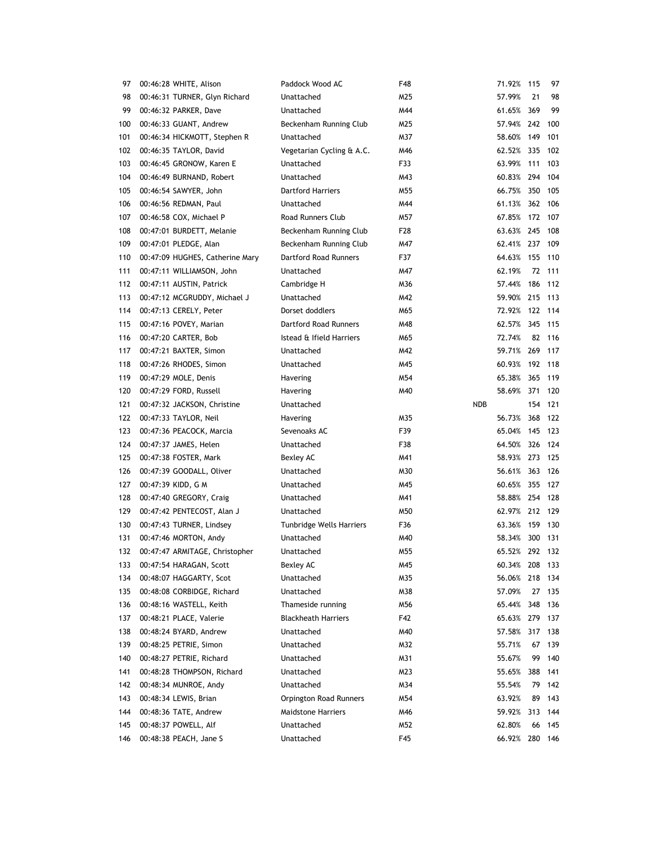| 97  | 00:46:28 WHITE, Alison          | Paddock Wood AC                 | F48 | 71.92% 115     |         | 97  |
|-----|---------------------------------|---------------------------------|-----|----------------|---------|-----|
| 98  | 00:46:31 TURNER, Glyn Richard   | Unattached                      | M25 | 57.99%         | 21      | 98  |
| 99  | 00:46:32 PARKER, Dave           | Unattached                      | M44 | 61.65%         | 369     | 99  |
| 100 | 00:46:33 GUANT, Andrew          | Beckenham Running Club          | M25 | 57.94% 242     |         | 100 |
| 101 | 00:46:34 HICKMOTT, Stephen R    | Unattached                      | M37 | 58.60%         | 149     | 101 |
| 102 | 00:46:35 TAYLOR, David          | Vegetarian Cycling & A.C.       | M46 | 62.52%         | 335     | 102 |
| 103 | 00:46:45 GRONOW, Karen E        | Unattached                      | F33 | 63.99%         | 111     | 103 |
| 104 | 00:46:49 BURNAND, Robert        | Unattached                      | M43 | 60.83%         | 294     | 104 |
| 105 | 00:46:54 SAWYER, John           | <b>Dartford Harriers</b>        | M55 | 66.75% 350     |         | 105 |
| 106 | 00:46:56 REDMAN, Paul           | Unattached                      | M44 | 61.13% 362 106 |         |     |
| 107 | 00:46:58 COX, Michael P         | Road Runners Club               | M57 | 67.85%         | 172 107 |     |
| 108 | 00:47:01 BURDETT, Melanie       | Beckenham Running Club          | F28 | 63.63% 245     |         | 108 |
| 109 | 00:47:01 PLEDGE, Alan           | Beckenham Running Club          | M47 | 62.41% 237     |         | 109 |
| 110 | 00:47:09 HUGHES, Catherine Mary | Dartford Road Runners           | F37 | 64.63% 155     |         | 110 |
| 111 | 00:47:11 WILLIAMSON, John       | Unattached                      | M47 | 62.19%         | 72      | 111 |
| 112 | 00:47:11 AUSTIN, Patrick        | Cambridge H                     | M36 | 57.44%         | 186     | 112 |
| 113 | 00:47:12 MCGRUDDY, Michael J    | Unattached                      | M42 | 59.90%         | 215     | 113 |
| 114 | 00:47:13 CERELY, Peter          | Dorset doddlers                 | M65 | 72.92%         | 122     | 114 |
| 115 | 00:47:16 POVEY, Marian          | Dartford Road Runners           | M48 | 62.57%         | 345     | 115 |
| 116 | 00:47:20 CARTER, Bob            | Istead & Ifield Harriers        | M65 | 72.74%         | 82      | 116 |
| 117 | 00:47:21 BAXTER, Simon          | Unattached                      | M42 | 59.71%         | 269     | 117 |
| 118 | 00:47:26 RHODES, Simon          | Unattached                      | M45 | 60.93%         | 192 118 |     |
| 119 | 00:47:29 MOLE, Denis            | Havering                        | M54 | 65.38%         | 365     | 119 |
| 120 | 00:47:29 FORD, Russell          | Havering                        | M40 | 58.69% 371     |         | 120 |
| 121 | 00:47:32 JACKSON, Christine     | Unattached                      |     | <b>NDB</b>     | 154     | 121 |
| 122 | 00:47:33 TAYLOR, Neil           | Havering                        | M35 | 56.73%         | 368     | 122 |
| 123 | 00:47:36 PEACOCK, Marcia        | Sevenoaks AC                    | F39 | 65.04%         | 145     | 123 |
| 124 | 00:47:37 JAMES, Helen           | Unattached                      | F38 | 64.50%         | 326     | 124 |
| 125 | 00:47:38 FOSTER, Mark           | Bexley AC                       | M41 | 58.93% 273     |         | 125 |
| 126 | 00:47:39 GOODALL, Oliver        | Unattached                      | M30 | 56.61%         | 363     | 126 |
| 127 | 00:47:39 KIDD, G M              | Unattached                      | M45 | 60.65%         | 355     | 127 |
| 128 | 00:47:40 GREGORY, Craig         | Unattached                      | M41 | 58.88% 254     |         | 128 |
| 129 | 00:47:42 PENTECOST, Alan J      | Unattached                      | M50 | 62.97%         | 212 129 |     |
| 130 | 00:47:43 TURNER, Lindsey        | <b>Tunbridge Wells Harriers</b> | F36 | 63.36%         | 159 130 |     |
| 131 | 00:47:46 MORTON, Andy           | Unattached                      | M40 | 58.34%         | 300     | 131 |
| 132 | 00:47:47 ARMITAGE, Christopher  | Unattached                      | M55 | 65.52% 292 132 |         |     |
| 133 | 00:47:54 HARAGAN, Scott         | Bexley AC                       | M45 | 60.34%         | 208     | 133 |
| 134 | 00:48:07 HAGGARTY, Scot         | Unattached                      | M35 | 56.06%         | 218     | 134 |
| 135 | 00:48:08 CORBIDGE, Richard      | Unattached                      | M38 | 57.09%         | 27      | 135 |
| 136 | 00:48:16 WASTELL, Keith         | Thameside running               | M56 | 65.44%         | 348     | 136 |
| 137 | 00:48:21 PLACE, Valerie         | <b>Blackheath Harriers</b>      | F42 | 65.63%         | 279     | 137 |
| 138 | 00:48:24 BYARD, Andrew          | Unattached                      | M40 | 57.58%         | 317     | 138 |
| 139 | 00:48:25 PETRIE, Simon          | Unattached                      | M32 | 55.71%         | 67      | 139 |
| 140 | 00:48:27 PETRIE, Richard        | Unattached                      | M31 | 55.67%         | 99      | 140 |
| 141 | 00:48:28 THOMPSON, Richard      | Unattached                      | M23 | 55.65%         | 388     | 141 |
| 142 | 00:48:34 MUNROE, Andy           | Unattached                      | M34 | 55.54%         | 79      | 142 |
| 143 | 00:48:34 LEWIS, Brian           | Orpington Road Runners          | M54 | 63.92%         | 89      | 143 |
| 144 | 00:48:36 TATE, Andrew           | <b>Maidstone Harriers</b>       | M46 | 59.92%         | 313     | 144 |
| 145 | 00:48:37 POWELL, Alf            | Unattached                      | M52 | 62.80%         | 66      | 145 |
| 146 | 00:48:38 PEACH, Jane S          | Unattached                      | F45 | 66.92%         | 280     | 146 |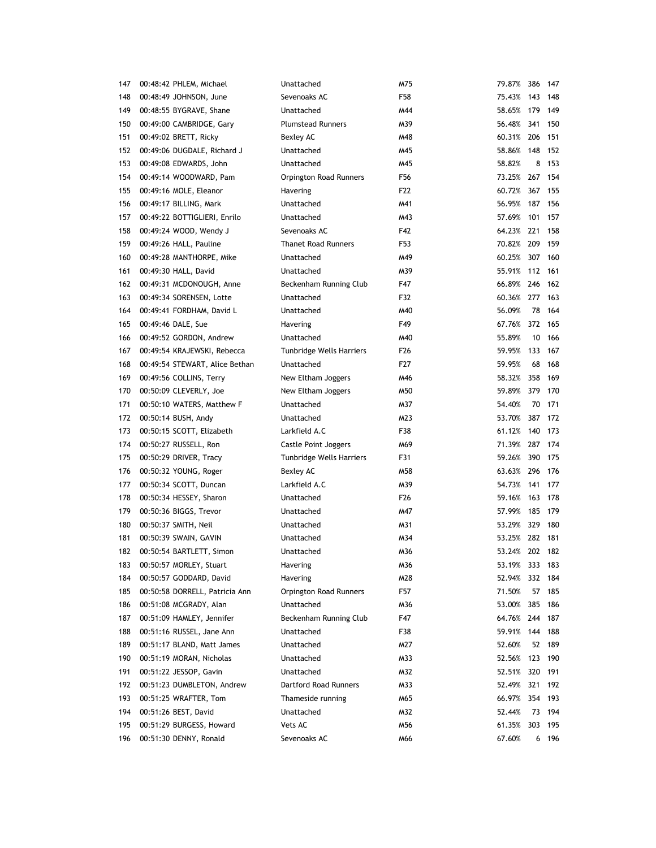| 147 | 00:48:42 PHLEM, Michael        | Unattached                   | M75 | 79.87%         | 386     | 147     |
|-----|--------------------------------|------------------------------|-----|----------------|---------|---------|
| 148 | 00:48:49 JOHNSON, June         | Sevenoaks AC                 | F58 | 75.43%         | 143     | 148     |
| 149 | 00:48:55 BYGRAVE, Shane        | Unattached                   | M44 | 58.65%         | 179     | 149     |
| 150 | 00:49:00 CAMBRIDGE, Gary       | <b>Plumstead Runners</b>     | M39 | 56.48%         | 341     | 150     |
| 151 | 00:49:02 BRETT, Ricky          | Bexley AC                    | M48 | 60.31% 206     |         | 151     |
| 152 | 00:49:06 DUGDALE, Richard J    | Unattached                   | M45 | 58.86%         | 148     | 152     |
| 153 | 00:49:08 EDWARDS, John         | Unattached                   | M45 | 58.82%         |         | 8 153   |
| 154 | 00:49:14 WOODWARD, Pam         | Orpington Road Runners       | F56 | 73.25%         | 267 154 |         |
| 155 | 00:49:16 MOLE, Eleanor         | Havering                     | F22 | 60.72%         | 367 155 |         |
| 156 | 00:49:17 BILLING, Mark         | Unattached                   | M41 | 56.95% 187 156 |         |         |
| 157 | 00:49:22 BOTTIGLIERI, Enrilo   | Unattached                   | M43 | 57.69%         | 101     | 157     |
| 158 | 00:49:24 WOOD, Wendy J         | Sevenoaks AC                 | F42 | 64.23% 221     |         | 158     |
| 159 | 00:49:26 HALL, Pauline         | <b>Thanet Road Runners</b>   | F53 | 70.82% 209     |         | 159     |
| 160 | 00:49:28 MANTHORPE, Mike       | Unattached                   | M49 | 60.25% 307     |         | 160     |
| 161 | 00:49:30 HALL, David           | Unattached                   | M39 | 55.91%         | 112 161 |         |
| 162 | 00:49:31 MCDONOUGH, Anne       | Beckenham Running Club       | F47 | 66.89% 246 162 |         |         |
| 163 | 00:49:34 SORENSEN, Lotte       | Unattached                   | F32 | 60.36% 277     |         | 163     |
| 164 | 00:49:41 FORDHAM, David L      | Unattached                   | M40 | 56.09%         | 78      | 164     |
| 165 | 00:49:46 DALE, Sue             | Havering                     | F49 | 67.76%         | 372     | 165     |
| 166 | 00:49:52 GORDON, Andrew        | Unattached                   | M40 | 55.89%         | 10      | 166     |
| 167 | 00:49:54 KRAJEWSKI, Rebecca    | Tunbridge Wells Harriers     | F26 | 59.95%         | 133 167 |         |
| 168 | 00:49:54 STEWART, Alice Bethan | Unattached                   | F27 | 59.95%         | 68      | 168     |
| 169 | 00:49:56 COLLINS, Terry        | New Eltham Joggers           | M46 | 58.32%         | 358     | 169     |
| 170 | 00:50:09 CLEVERLY, Joe         | New Eltham Joggers           | M50 | 59.89%         | 379     | 170     |
| 171 | 00:50:10 WATERS, Matthew F     | Unattached                   | M37 | 54.40%         | 70      | 171     |
| 172 | 00:50:14 BUSH, Andy            | Unattached                   | M23 | 53.70%         | 387     | 172     |
| 173 | 00:50:15 SCOTT, Elizabeth      | Larkfield A.C                | F38 | 61.12%         | 140     | 173     |
| 174 | 00:50:27 RUSSELL, Ron          | Castle Point Joggers         | M69 | 71.39% 287     |         | 174     |
| 175 | 00:50:29 DRIVER, Tracy         | Tunbridge Wells Harriers     | F31 | 59.26%         | 390     | 175     |
| 176 | 00:50:32 YOUNG, Roger          | Bexley AC                    | M58 | 63.63% 296     |         | 176     |
| 177 | 00:50:34 SCOTT, Duncan         | Larkfield A.C                | M39 | 54.73%         | 141     | 177     |
| 178 | 00:50:34 HESSEY, Sharon        | Unattached                   | F26 | 59.16% 163     |         | 178     |
| 179 | 00:50:36 BIGGS, Trevor         | Unattached                   | M47 | 57.99%         | 185     | 179     |
| 180 | 00:50:37 SMITH, Neil           | Unattached                   | M31 | 53.29% 329     |         | 180     |
| 181 | 00:50:39 SWAIN, GAVIN          | Unattached                   | M34 | 53.25% 282 181 |         |         |
| 182 | 00:50:54 BARTLETT, Simon       | Unattached                   | M36 | 53.24% 202 182 |         |         |
| 183 | 00:50:57 MORLEY, Stuart        | Havering                     | M36 | 53.19% 333 183 |         |         |
| 184 | 00:50:57 GODDARD, David        | Havering                     | M28 | 52.94%         | 332     | 184     |
| 185 | 00:50:58 DORRELL, Patricia Ann | Orpington Road Runners       | F57 | 71.50%         | 57      | 185     |
| 186 | 00:51:08 MCGRADY, Alan         | Unattached                   | M36 | 53.00%         | 385     | 186     |
| 187 | 00:51:09 HAMLEY, Jennifer      | Beckenham Running Club       | F47 | 64.76% 244     |         | 187     |
| 188 | 00:51:16 RUSSEL, Jane Ann      | Unattached                   | F38 | 59.91%         | 144     | 188     |
| 189 | 00:51:17 BLAND, Matt James     | Unattached                   | M27 | 52.60%         | 52      | 189     |
| 190 | 00:51:19 MORAN, Nicholas       | Unattached                   | M33 | 52.56%         | 123     | 190     |
| 191 | 00:51:22 JESSOP, Gavin         | Unattached                   | M32 | 52.51%         | 320     | 191     |
| 192 | 00:51:23 DUMBLETON, Andrew     | <b>Dartford Road Runners</b> | M33 | 52.49%         | 321 192 |         |
| 193 | 00:51:25 WRAFTER, Tom          | Thameside running            | M65 | 66.97%         |         | 354 193 |
| 194 | 00:51:26 BEST, David           | Unattached                   | M32 | 52.44%         |         | 73 194  |
| 195 | 00:51:29 BURGESS, Howard       | Vets AC                      | M56 | 61.35%         | 303     | 195     |
| 196 | 00:51:30 DENNY, Ronald         | Sevenoaks AC                 | M66 | 67.60%         |         | 6 196   |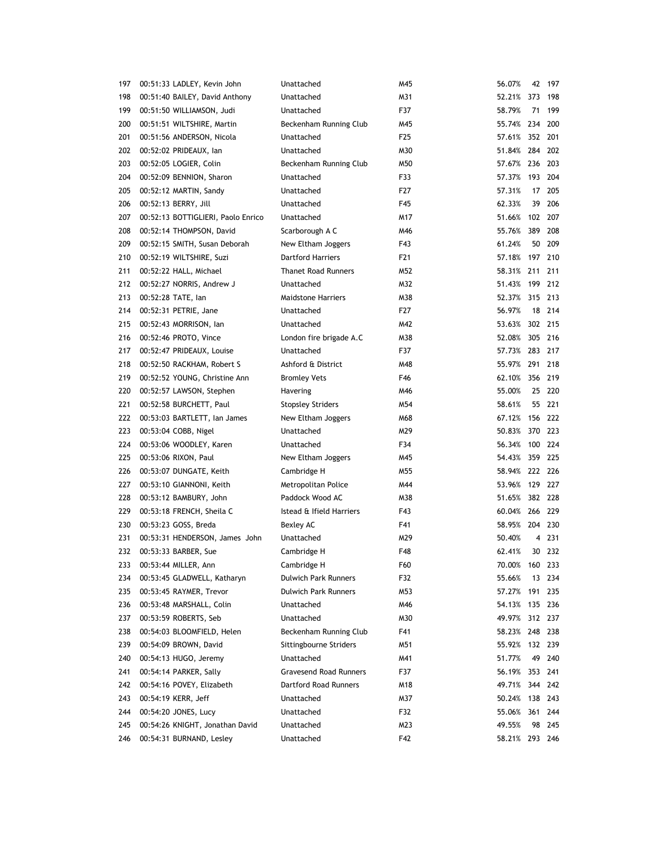| 197 | 00:51:33 LADLEY, Kevin John        | Unattached                             | M45 | 56.07%         | 42      | 197     |
|-----|------------------------------------|----------------------------------------|-----|----------------|---------|---------|
| 198 | 00:51:40 BAILEY, David Anthony     | Unattached                             | M31 | 52.21%         | 373     | 198     |
| 199 | 00:51:50 WILLIAMSON, Judi          | Unattached                             | F37 | 58.79%         | 71      | 199     |
| 200 | 00:51:51 WILTSHIRE, Martin         | Beckenham Running Club                 | M45 | 55.74% 234 200 |         |         |
| 201 | 00:51:56 ANDERSON, Nicola          | Unattached                             | F25 | 57.61% 352 201 |         |         |
| 202 | 00:52:02 PRIDEAUX, lan             | Unattached                             | M30 | 51.84% 284 202 |         |         |
| 203 | 00:52:05 LOGIER, Colin             | Beckenham Running Club                 | M50 | 57.67% 236 203 |         |         |
| 204 | 00:52:09 BENNION, Sharon           | Unattached                             | F33 | 57.37%         | 193 204 |         |
| 205 | 00:52:12 MARTIN, Sandy             | Unattached                             | F27 | 57.31%         |         | 17 205  |
| 206 | 00:52:13 BERRY, Jill               | Unattached                             | F45 | 62.33%         | 39      | 206     |
| 207 | 00:52:13 BOTTIGLIERI, Paolo Enrico | Unattached                             | M17 | 51.66%         | 102 207 |         |
| 208 | 00:52:14 THOMPSON, David           | Scarborough A C                        | M46 | 55.76%         | 389     | 208     |
| 209 | 00:52:15 SMITH, Susan Deborah      | New Eltham Joggers                     | F43 | 61.24%         |         | 50 209  |
| 210 | 00:52:19 WILTSHIRE, Suzi           | <b>Dartford Harriers</b>               | F21 | 57.18% 197 210 |         |         |
| 211 | 00:52:22 HALL, Michael             | <b>Thanet Road Runners</b>             | M52 | 58.31%         | 211 211 |         |
| 212 | 00:52:27 NORRIS, Andrew J          | Unattached                             | M32 | 51.43% 199     |         | 212     |
| 213 | 00:52:28 TATE, lan                 | <b>Maidstone Harriers</b>              | M38 | 52.37%         | 315 213 |         |
| 214 | 00:52:31 PETRIE, Jane              | Unattached                             | F27 | 56.97%         | 18      | 214     |
| 215 | 00:52:43 MORRISON, Ian             | Unattached                             | M42 | 53.63%         | 302 215 |         |
| 216 | 00:52:46 PROTO, Vince              | London fire brigade A.C                | M38 | 52.08%         | 305 216 |         |
| 217 | 00:52:47 PRIDEAUX, Louise          | Unattached                             | F37 | 57.73% 283 217 |         |         |
| 218 | 00:52:50 RACKHAM, Robert S         | Ashford & District                     | M48 | 55.97% 291 218 |         |         |
| 219 | 00:52:52 YOUNG, Christine Ann      | <b>Bromley Vets</b>                    | F46 | 62.10%         | 356 219 |         |
| 220 | 00:52:57 LAWSON, Stephen           | Havering                               | M46 | 55.00%         |         | 25 220  |
| 221 | 00:52:58 BURCHETT, Paul            | <b>Stopsley Striders</b>               | M54 | 58.61%         |         | 55 221  |
| 222 | 00:53:03 BARTLETT, Ian James       | New Eltham Joggers                     | M68 | 67.12%         | 156     | 222     |
| 223 | 00:53:04 COBB, Nigel               | Unattached                             | M29 | 50.83%         | 370 223 |         |
| 224 | 00:53:06 WOODLEY, Karen            | Unattached                             | F34 | 56.34%         | 100     | 224     |
| 225 | 00:53:06 RIXON, Paul               | New Eltham Joggers                     | M45 | 54.43%         | 359     | 225     |
| 226 | 00:53:07 DUNGATE, Keith            | Cambridge H                            | M55 | 58.94% 222 226 |         |         |
| 227 |                                    |                                        | M44 | 53.96%         | 129 227 |         |
| 228 | 00:53:10 GIANNONI, Keith           | Metropolitan Police<br>Paddock Wood AC | M38 | 51.65%         | 382 228 |         |
|     | 00:53:12 BAMBURY, John             |                                        |     |                |         |         |
| 229 | 00:53:18 FRENCH, Sheila C          | Istead & Ifield Harriers               | F43 | 60.04% 266 229 |         |         |
| 230 | 00:53:23 GOSS, Breda               | Bexley AC                              | F41 | 58.95% 204 230 |         |         |
| 231 | 00:53:31 HENDERSON, James John     | Unattached                             | M29 | 50.40%         |         | 4 231   |
| 232 | 00:53:33 BARBER, Sue               | Cambridge H                            | F48 | 62.41%         |         | 30 232  |
| 233 | 00:53:44 MILLER, Ann               | Cambridge H                            | F60 | 70.00%         |         | 160 233 |
| 234 | 00:53:45 GLADWELL, Katharyn        | <b>Dulwich Park Runners</b>            | F32 | 55.66%         | 13      | 234     |
| 235 | 00:53:45 RAYMER, Trevor            | <b>Dulwich Park Runners</b>            | M53 | 57.27%         | 191     | 235     |
| 236 | 00:53:48 MARSHALL, Colin           | Unattached                             | M46 | 54.13%         | 135 236 |         |
| 237 | 00:53:59 ROBERTS, Seb              | Unattached                             | M30 | 49.97%         |         | 312 237 |
| 238 | 00:54:03 BLOOMFIELD, Helen         | Beckenham Running Club                 | F41 | 58.23%         | 248 238 |         |
| 239 | 00:54:09 BROWN, David              | Sittingbourne Striders                 | M51 | 55.92%         |         | 132 239 |
| 240 | 00:54:13 HUGO, Jeremy              | Unattached                             | M41 | 51.77%         | 49      | 240     |
| 241 | 00:54:14 PARKER, Sally             | <b>Gravesend Road Runners</b>          | F37 | 56.19%         | 353     | 241     |
| 242 | 00:54:16 POVEY, Elizabeth          | Dartford Road Runners                  | M18 | 49.71%         |         | 344 242 |
| 243 | 00:54:19 KERR, Jeff                | Unattached                             | M37 | 50.24%         |         | 138 243 |
| 244 | 00:54:20 JONES, Lucy               | Unattached                             | F32 | 55.06%         | 361     | 244     |
| 245 | 00:54:26 KNIGHT, Jonathan David    | Unattached                             | M23 | 49.55%         | 98      | 245     |
| 246 | 00:54:31 BURNAND, Lesley           | Unattached                             | F42 | 58.21%         |         | 293 246 |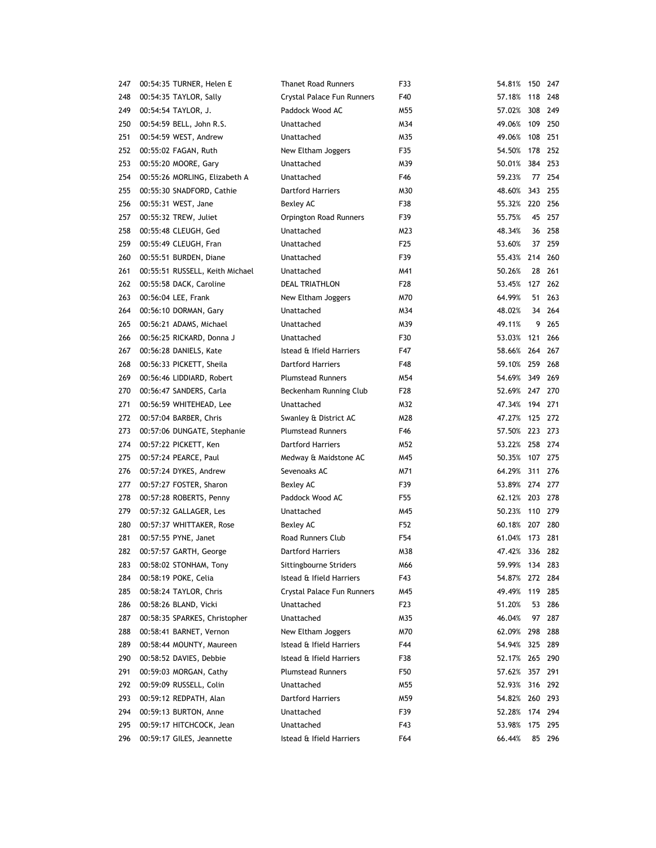| 247 | 00:54:35 TURNER, Helen E        | <b>Thanet Road Runners</b> | F33              | 54.81%         | 150 247 |         |
|-----|---------------------------------|----------------------------|------------------|----------------|---------|---------|
| 248 | 00:54:35 TAYLOR, Sally          | Crystal Palace Fun Runners | F40              | 57.18%         | 118     | 248     |
| 249 | 00:54:54 TAYLOR, J.             | Paddock Wood AC            | M55              | 57.02%         | 308     | 249     |
| 250 | 00:54:59 BELL, John R.S.        | Unattached                 | M34              | 49.06%         |         | 109 250 |
| 251 | 00:54:59 WEST, Andrew           | Unattached                 | M35              | 49.06%         | 108     | 251     |
| 252 | 00:55:02 FAGAN, Ruth            | New Eltham Joggers         | F35              | 54.50%         | 178     | 252     |
| 253 | 00:55:20 MOORE, Gary            | Unattached                 | M39              | 50.01%         |         | 384 253 |
| 254 | 00:55:26 MORLING, Elizabeth A   | Unattached                 | F46              | 59.23%         |         | 77 254  |
| 255 | 00:55:30 SNADFORD, Cathie       | <b>Dartford Harriers</b>   | M30              | 48.60%         |         | 343 255 |
| 256 | 00:55:31 WEST, Jane             | Bexley AC                  | F38              | 55.32% 220 256 |         |         |
| 257 | 00:55:32 TREW, Juliet           | Orpington Road Runners     | F39              | 55.75%         |         | 45 257  |
| 258 | 00:55:48 CLEUGH, Ged            | Unattached                 | M23              | 48.34%         |         | 36 258  |
| 259 | 00:55:49 CLEUGH, Fran           | Unattached                 | F <sub>25</sub>  | 53.60%         |         | 37 259  |
| 260 | 00:55:51 BURDEN, Diane          | Unattached                 | F39              | 55.43%         |         | 214 260 |
| 261 | 00:55:51 RUSSELL, Keith Michael | Unattached                 | M41              | 50.26%         |         | 28 261  |
| 262 | 00:55:58 DACK, Caroline         | DEAL TRIATHLON             | F <sub>2</sub> 8 | 53.45%         | 127     | 262     |
| 263 | 00:56:04 LEE, Frank             | New Eltham Joggers         | M70              | 64.99%         | 51      | 263     |
| 264 | 00:56:10 DORMAN, Gary           | Unattached                 | M34              | 48.02%         | 34      | 264     |
| 265 | 00:56:21 ADAMS, Michael         | Unattached                 | M39              | 49.11%         | 9       | 265     |
| 266 | 00:56:25 RICKARD, Donna J       | Unattached                 | F30              | 53.03%         | 121     | 266     |
| 267 | 00:56:28 DANIELS, Kate          | Istead & Ifield Harriers   | F47              | 58.66%         |         | 264 267 |
| 268 | 00:56:33 PICKETT, Sheila        | <b>Dartford Harriers</b>   | F48              | 59.10% 259 268 |         |         |
| 269 | 00:56:46 LIDDIARD, Robert       | <b>Plumstead Runners</b>   | M54              | 54.69%         | 349 269 |         |
| 270 | 00:56:47 SANDERS, Carla         | Beckenham Running Club     | F28              | 52.69% 247 270 |         |         |
| 271 | 00:56:59 WHITEHEAD, Lee         | Unattached                 | M32              | 47.34%         | 194 271 |         |
| 272 | 00:57:04 BARBER, Chris          | Swanley & District AC      | M28              | 47.27%         |         | 125 272 |
| 273 | 00:57:06 DUNGATE, Stephanie     | <b>Plumstead Runners</b>   | F46              | 57.50%         |         | 223 273 |
| 274 | 00:57:22 PICKETT, Ken           | <b>Dartford Harriers</b>   | M52              | 53.22%         | 258     | 274     |
| 275 | 00:57:24 PEARCE, Paul           | Medway & Maidstone AC      | M45              | 50.35%         | 107     | 275     |
| 276 | 00:57:24 DYKES, Andrew          | Sevenoaks AC               | M71              | 64.29%         | 311     | 276     |
| 277 | 00:57:27 FOSTER, Sharon         | Bexley AC                  | F39              | 53.89% 274 277 |         |         |
| 278 | 00:57:28 ROBERTS, Penny         | Paddock Wood AC            | F55              | 62.12% 203 278 |         |         |
| 279 | 00:57:32 GALLAGER, Les          | Unattached                 | M45              | 50.23%         | 110 279 |         |
| 280 | 00:57:37 WHITTAKER, Rose        | <b>Bexley AC</b>           | F52              | 60.18%         | 207 280 |         |
| 281 | 00:57:55 PYNE, Janet            | <b>Road Runners Club</b>   | F54              | 61.04%         | 173 281 |         |
| 282 | 00:57:57 GARTH, George          | <b>Dartford Harriers</b>   | M38              | 47.42% 336 282 |         |         |
| 283 | 00:58:02 STONHAM, Tony          | Sittingbourne Striders     | M66              | 59.99%         | 134 283 |         |
| 284 | 00:58:19 POKE, Celia            | Istead & Ifield Harriers   | F43              | 54.87%         | 272     | 284     |
| 285 | 00:58:24 TAYLOR, Chris          | Crystal Palace Fun Runners | M45              | 49.49%         | 119     | 285     |
| 286 | 00:58:26 BLAND, Vicki           | Unattached                 | F23              | 51.20%         | 53      | 286     |
| 287 | 00:58:35 SPARKES, Christopher   | Unattached                 | M35              | 46.04%         | 97      | 287     |
| 288 | 00:58:41 BARNET, Vernon         | New Eltham Joggers         | M70              | 62.09%         | 298     | 288     |
| 289 | 00:58:44 MOUNTY, Maureen        | Istead & Ifield Harriers   | F44              | 54.94%         | 325     | 289     |
| 290 | 00:58:52 DAVIES, Debbie         | Istead & Ifield Harriers   | F38              | 52.17%         | 265     | 290     |
| 291 | 00:59:03 MORGAN, Cathy          | <b>Plumstead Runners</b>   | F50              | 57.62%         |         | 357 291 |
| 292 | 00:59:09 RUSSELL, Colin         | Unattached                 | M55              | 52.93%         |         | 316 292 |
| 293 | 00:59:12 REDPATH, Alan          | <b>Dartford Harriers</b>   | M59              | 54.82%         |         | 260 293 |
| 294 | 00:59:13 BURTON, Anne           | Unattached                 | F39              | 52.28%         |         | 174 294 |
| 295 | 00:59:17 HITCHCOCK, Jean        | Unattached                 | F43              | 53.98%         |         | 175 295 |
| 296 | 00:59:17 GILES, Jeannette       | Istead & Ifield Harriers   | F64              | 66.44%         |         | 85 296  |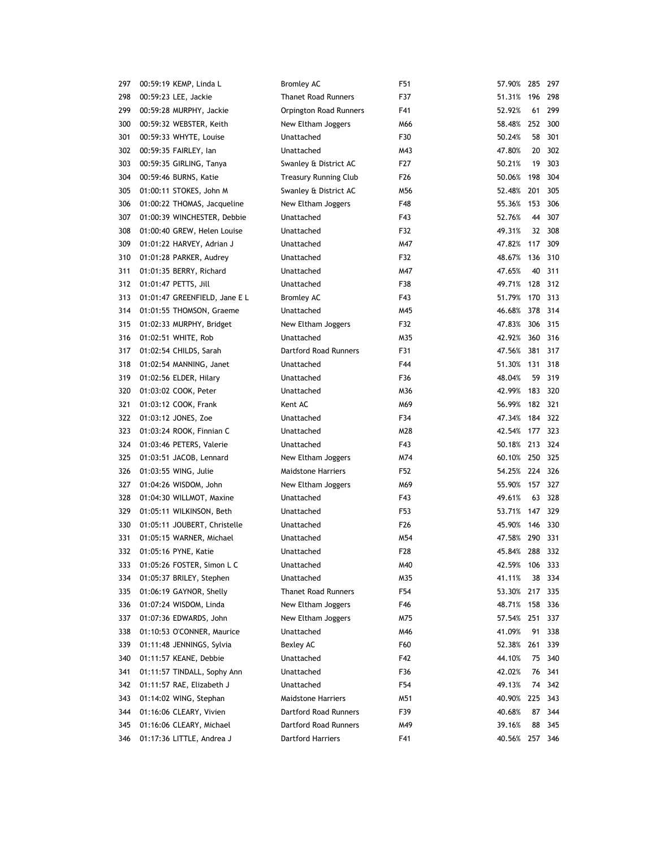| 297 | 00:59:19 KEMP, Linda L        | <b>Bromley AC</b>            | F51             | 57.90% 285     |         | 297     |
|-----|-------------------------------|------------------------------|-----------------|----------------|---------|---------|
| 298 | 00:59:23 LEE, Jackie          | <b>Thanet Road Runners</b>   | F37             | 51.31%         | 196     | 298     |
| 299 | 00:59:28 MURPHY, Jackie       | Orpington Road Runners       | F41             | 52.92%         | 61      | 299     |
| 300 | 00:59:32 WEBSTER, Keith       | New Eltham Joggers           | M66             | 58.48%         | 252     | 300     |
| 301 | 00:59:33 WHYTE, Louise        | Unattached                   | F30             | 50.24%         | 58      | 301     |
| 302 | 00:59:35 FAIRLEY, lan         | Unattached                   | M43             | 47.80%         | 20      | 302     |
| 303 | 00:59:35 GIRLING, Tanya       | Swanley & District AC        | F27             | 50.21%         | 19      | 303     |
| 304 | 00:59:46 BURNS, Katie         | <b>Treasury Running Club</b> | F <sub>26</sub> | 50.06%         | 198     | 304     |
| 305 | 01:00:11 STOKES, John M       | Swanley & District AC        | M56             | 52.48%         | 201     | 305     |
| 306 | 01:00:22 THOMAS, Jacqueline   | New Eltham Joggers           | F48             | 55.36%         | 153     | 306     |
| 307 | 01:00:39 WINCHESTER, Debbie   | Unattached                   | F43             | 52.76%         | 44      | 307     |
| 308 | 01:00:40 GREW, Helen Louise   | Unattached                   | F32             | 49.31%         | 32      | 308     |
| 309 | 01:01:22 HARVEY, Adrian J     | Unattached                   | M47             | 47.82%         | 117     | 309     |
| 310 | 01:01:28 PARKER, Audrey       | Unattached                   | F32             | 48.67%         | 136     | 310     |
| 311 | 01:01:35 BERRY, Richard       | Unattached                   | M47             | 47.65%         | 40      | 311     |
| 312 | 01:01:47 PETTS, Jill          | Unattached                   | F38             | 49.71%         | 128     | 312     |
| 313 | 01:01:47 GREENFIELD, Jane E L | <b>Bromley AC</b>            | F43             | 51.79%         | 170     | 313     |
| 314 | 01:01:55 THOMSON, Graeme      | Unattached                   | M45             | 46.68%         | 378     | 314     |
| 315 | 01:02:33 MURPHY, Bridget      | New Eltham Joggers           | F32             | 47.83%         | 306     | 315     |
| 316 | 01:02:51 WHITE, Rob           | Unattached                   | M35             | 42.92%         | 360 316 |         |
| 317 | 01:02:54 CHILDS, Sarah        | Dartford Road Runners        | F31             | 47.56%         | 381 317 |         |
| 318 | 01:02:54 MANNING, Janet       | Unattached                   | F44             | 51.30%         | 131 318 |         |
| 319 | 01:02:56 ELDER, Hilary        | Unattached                   | F36             | 48.04%         | 59      | 319     |
| 320 | 01:03:02 COOK, Peter          | Unattached                   | M36             | 42.99%         | 183     | 320     |
| 321 | 01:03:12 COOK, Frank          | Kent AC                      | M69             | 56.99%         | 182 321 |         |
| 322 | 01:03:12 JONES, Zoe           | Unattached                   | F34             | 47.34%         | 184     | 322     |
| 323 | 01:03:24 ROOK, Finnian C      | Unattached                   | M28             | 42.54%         | 177 323 |         |
| 324 | 01:03:46 PETERS, Valerie      | Unattached                   | F43             | 50.18%         | 213     | 324     |
| 325 | 01:03:51 JACOB, Lennard       | New Eltham Joggers           | M74             | 60.10% 250     |         | 325     |
| 326 | 01:03:55 WING, Julie          | <b>Maidstone Harriers</b>    | F52             | 54.25% 224     |         | 326     |
| 327 | 01:04:26 WISDOM, John         | New Eltham Joggers           | M69             | 55.90%         | 157     | 327     |
| 328 | 01:04:30 WILLMOT, Maxine      | Unattached                   | F43             | 49.61%         | 63      | 328     |
| 329 | 01:05:11 WILKINSON, Beth      | Unattached                   | F53             | 53.71% 147 329 |         |         |
| 330 | 01:05:11 JOUBERT, Christelle  | Unattached                   | F <sub>26</sub> | 45.90% 146 330 |         |         |
| 331 | 01:05:15 WARNER, Michael      | Unattached                   | M54             | 47.58% 290 331 |         |         |
| 332 | 01:05:16 PYNE, Katie          | Unattached                   | F <sub>28</sub> | 45.84% 288 332 |         |         |
| 333 | 01:05:26 FOSTER, Simon L C    | Unattached                   | M40             | 42.59%         | 106     | 333     |
| 334 | 01:05:37 BRILEY, Stephen      | Unattached                   | M35             | 41.11%         | 38      | 334     |
| 335 | 01:06:19 GAYNOR, Shelly       | <b>Thanet Road Runners</b>   | F54             | 53.30%         | 217     | 335     |
| 336 | 01:07:24 WISDOM, Linda        | New Eltham Joggers           | F46             | 48.71%         | 158     | 336     |
| 337 | 01:07:36 EDWARDS, John        | New Eltham Joggers           | M75             | 57.54%         | 251     | 337     |
| 338 | 01:10:53 O'CONNER, Maurice    | Unattached                   | M46             | 41.09%         | 91      | 338     |
| 339 | 01:11:48 JENNINGS, Sylvia     | Bexley AC                    | F60             | 52.38%         | 261     | 339     |
| 340 | 01:11:57 KEANE, Debbie        | Unattached                   | F42             | 44.10%         | 75      | 340     |
| 341 | 01:11:57 TINDALL, Sophy Ann   | Unattached                   | F36             | 42.02%         | 76      | 341     |
| 342 | 01:11:57 RAE, Elizabeth J     | Unattached                   | F54             | 49.13%         | 74      | 342     |
| 343 | 01:14:02 WING, Stephan        | <b>Maidstone Harriers</b>    | M51             | 40.90%         | 225     | 343     |
| 344 | 01:16:06 CLEARY, Vivien       | <b>Dartford Road Runners</b> | F39             | 40.68%         | 87      | 344     |
| 345 | 01:16:06 CLEARY, Michael      | Dartford Road Runners        | M49             | 39.16%         | 88      | 345     |
| 346 | 01:17:36 LITTLE, Andrea J     | Dartford Harriers            | F41             | 40.56%         |         | 257 346 |
|     |                               |                              |                 |                |         |         |